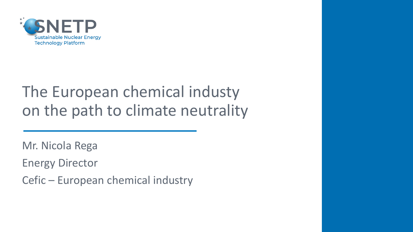

### The European chemical industy on the path to climate neutrality

Mr. Nicola Rega

Energy Director

Cefic – European chemical industry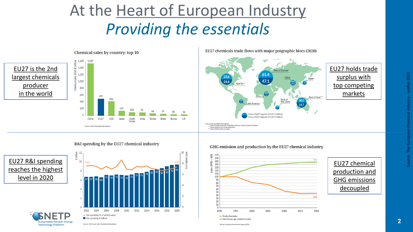### At the Heart of European Industry *Providing the essentials*





R&I spending by the EU27 chemical industry

EU27 R&I spending reaches the highest level in 2020



EU27 chemicals trade flows with major geographic blocs (2020)



#### GHG emission and production by the EU27 chemical industry



### EU27 chemical production and GHG emissions decoupled

**Technology Platform** 



- Greenhouse gas emissions index Source: European Environment Agency (EEA)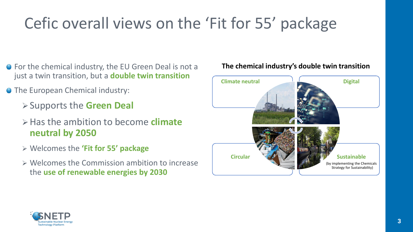# Cefic overall views on the 'Fit for 55' package

- For the chemical industry, the EU Green Deal is not a just a twin transition, but a **double twin transition**
- **The European Chemical industry:** 
	- ➢Supports the **Green Deal**
	- ➢Has the ambition to become **climate neutral by 2050**
	- ➢ Welcomes the **'Fit for 55' package**
	- ➢ Welcomes the Commission ambition to increase the **use of renewable energies by 2030**



**The chemical industry's double twin transition**

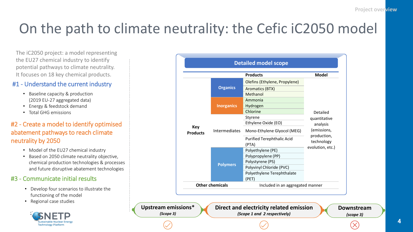### On the path to climate neutrality: the Cefic iC2050 model

The iC2050 project: a model representing the EU27 chemical industry to identify potential pathways to climate neutrality. It focuses on 18 key chemical products.

### #1 - Understand the current industry

- Baseline capacity & production (2019 EU-27 aggregated data)
- Energy & feedstock demand
- Total GHG emissions

### #2 - Create a model to identify optimised abatement pathways to reach climate neutrality by 2050

- Model of the EU27 chemical industry
- Based on 2050 climate neutrality objective, chemical production technologies & processes and future disruptive abatement technologies

#### #3 - Communicate initial results

- Develop four scenarios to illustrate the functioning of the model
- Regional case studies



|                               |                      | <b>Products</b>                   | <b>Model</b>                                                                                         |
|-------------------------------|----------------------|-----------------------------------|------------------------------------------------------------------------------------------------------|
| <b>Key</b><br><b>Products</b> | <b>Organics</b>      | Olefins (Ethylene, Propylene)     | Detailed<br>quantitative<br>analysis<br>(emissions,<br>production,<br>technology<br>evolution, etc.) |
|                               |                      | Aromatics (BTX)                   |                                                                                                      |
|                               |                      | Methanol                          |                                                                                                      |
|                               | <b>Inorganics</b>    | Ammonia                           |                                                                                                      |
|                               |                      | Hydrogen                          |                                                                                                      |
|                               |                      | Chlorine                          |                                                                                                      |
|                               | <b>Intermediates</b> | Styrene                           |                                                                                                      |
|                               |                      | Ethylene Oxide (EO)               |                                                                                                      |
|                               |                      | Mono-Ethylene Glyocol (MEG)       |                                                                                                      |
|                               |                      | <b>Purified Terephthalic Acid</b> |                                                                                                      |
|                               | <b>Polymers</b>      | (PTA)<br>Polyethylene (PE)        |                                                                                                      |
|                               |                      | Polypropylene (PP)                |                                                                                                      |
|                               |                      | Polystyrene (PS)                  |                                                                                                      |
|                               |                      | Polyvinyl Chloride (PVC)          |                                                                                                      |
|                               |                      | Polyethylene Terephthalate        |                                                                                                      |
|                               |                      | (PET)                             |                                                                                                      |
| <b>Other chemicals</b>        |                      | Included in an aggregated manner  |                                                                                                      |

**Upstream emissions\***  *(Scope 3)*

**Direct and electricity related emission**  *(Scope 1 and 2 respectively)*

**Downstream** *(scope 3)*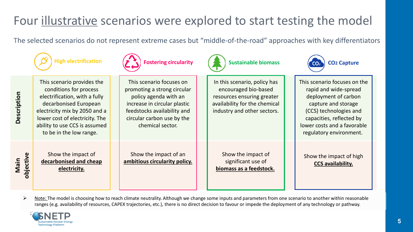### Four illustrative scenarios were explored to start testing the model

The selected scenarios do not represent extreme cases but "middle-of-the-road" approaches with key differentiators

This scenario provides the conditions for process electrification, with a fully decarbonised European







electricity mix by 2050 and a lower cost of electricity. The ability to use CCS is assumed

**Main objective**

Show the impact of **decarbonised and cheap electricity.**

to be in the low range.

This scenario focuses on promoting a strong circular policy agenda with an increase in circular plastic feedstocks availability and circular carbon use by the chemical sector.

Show the impact of an **ambitious circularity policy.**

In this scenario, policy has encouraged bio-based resources ensuring greater availability for the chemical industry and other sectors.

Show the impact of significant use of **biomass as a feedstock.** This scenario focuses on the rapid and wide-spread deployment of carbon capture and storage (CCS) technologies and capacities, reflected by lower costs and a favorable regulatory environment.

Show the impact of high **CCS availability.**

➢ Note: The model is choosing how to reach climate neutrality. Although we change some inputs and parameters from one scenario to another within reasonable ranges (e.g. availability of resources, CAPEX trajectories, etc.), there is no direct decision to favour or impede the deployment of any technology or pathway.

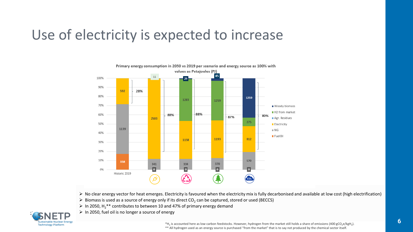### Use of electricity is expected to increase



➢ No clear energy vector for heat emerges. Electricity is favoured when the electricity mix is fully decarbonised and available at low cost (high electrification)

- $\triangleright$  Biomass is used as a source of energy only if its direct CO<sub>2</sub> can be captured, stored or used (BECCS)
- $\triangleright$  In 2050, H<sub>2</sub>\*\* contributes to between 10 and 47% of primary energy demand
- $\triangleright$  In 2050, fuel oil is no longer a source of energy



 $*$ H<sub>2</sub> is accounted here as low-carbon feedstocks. However, hydrogen from the market still holds a share of emissions (400 gCO<sub>2</sub>e/kgH<sub>2</sub>). \*\* All hydrogen used as an energy source is purchased "from the market" that is to say not produced by the chemical sector itself.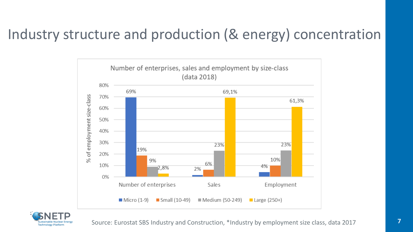### Industry structure and production (& energy) concentration



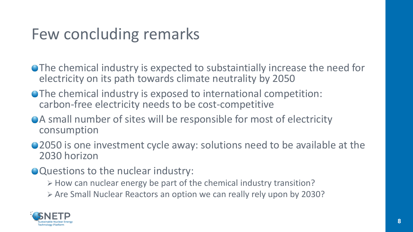### Few concluding remarks

- The chemical industry is expected to substaintially increase the need for electricity on its path towards climate neutrality by 2050
- The chemical industry is exposed to international competition: carbon-free electricity needs to be cost-competitive
- A small number of sites will be responsible for most of electricity consumption
- 2050 is one investment cycle away: solutions need to be available at the 2030 horizon
- Questions to the nuclear industry:
	- ➢ How can nuclear energy be part of the chemical industry transition?
	- ➢ Are Small Nuclear Reactors an option we can really rely upon by 2030?

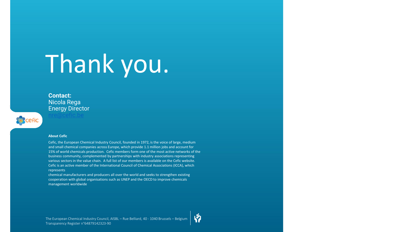# Thank you.

**Contact:**  Nicola Rega Energy Director

#### **About Cefic**

**Recefic** 

Cefic, the European Chemical Industry Council, founded in 1972, is the voice of large, medium and small chemical companies across Europe, which provide 1.1 million jobs and account for 15% of world chemicals production. Cefic members form one of the most active networks of the business community, complemented by partnerships with industry associations representing various sectors in the value chain. A full list of our members is available on the Cefic website. Cefic is an active member of the International Council of Chemical Associations (ICCA), which represents

chemical manufacturers and producers all over the world and seeks to strengthen existing cooperation with global organisations such as UNEP and the OECD to improve chemicals management worldwide

 $\ddot{v}$